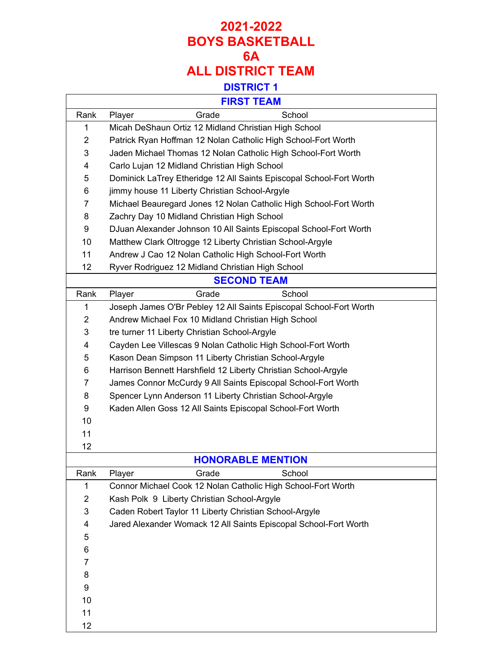### **2021-2022 BOYS BASKETBALL 6A ALL DISTRICT TEAM DISTRICT 1**

|                | <b>FIRST TEAM</b>                                                   |  |  |  |
|----------------|---------------------------------------------------------------------|--|--|--|
| Rank           | Grade<br>School<br>Player                                           |  |  |  |
| 1              | Micah DeShaun Ortiz 12 Midland Christian High School                |  |  |  |
| $\overline{2}$ | Patrick Ryan Hoffman 12 Nolan Catholic High School-Fort Worth       |  |  |  |
| 3              | Jaden Michael Thomas 12 Nolan Catholic High School-Fort Worth       |  |  |  |
| 4              | Carlo Lujan 12 Midland Christian High School                        |  |  |  |
| 5              | Dominick LaTrey Etheridge 12 All Saints Episcopal School-Fort Worth |  |  |  |
| 6              | jimmy house 11 Liberty Christian School-Argyle                      |  |  |  |
| 7              | Michael Beauregard Jones 12 Nolan Catholic High School-Fort Worth   |  |  |  |
| 8              | Zachry Day 10 Midland Christian High School                         |  |  |  |
| 9              | DJuan Alexander Johnson 10 All Saints Episcopal School-Fort Worth   |  |  |  |
| 10             | Matthew Clark Oltrogge 12 Liberty Christian School-Argyle           |  |  |  |
| 11             | Andrew J Cao 12 Nolan Catholic High School-Fort Worth               |  |  |  |
| 12             | Ryver Rodriguez 12 Midland Christian High School                    |  |  |  |
|                | <b>SECOND TEAM</b>                                                  |  |  |  |
| Rank           | Grade<br>School<br>Player                                           |  |  |  |
| 1              | Joseph James O'Br Pebley 12 All Saints Episcopal School-Fort Worth  |  |  |  |
| $\overline{2}$ | Andrew Michael Fox 10 Midland Christian High School                 |  |  |  |
| 3              | tre turner 11 Liberty Christian School-Argyle                       |  |  |  |
| 4              | Cayden Lee Villescas 9 Nolan Catholic High School-Fort Worth        |  |  |  |
| 5              | Kason Dean Simpson 11 Liberty Christian School-Argyle               |  |  |  |
| 6              | Harrison Bennett Harshfield 12 Liberty Christian School-Argyle      |  |  |  |
| 7              | James Connor McCurdy 9 All Saints Episcopal School-Fort Worth       |  |  |  |
| 8              | Spencer Lynn Anderson 11 Liberty Christian School-Argyle            |  |  |  |
| 9              | Kaden Allen Goss 12 All Saints Episcopal School-Fort Worth          |  |  |  |
| 10             |                                                                     |  |  |  |
| 11             |                                                                     |  |  |  |
| 12             |                                                                     |  |  |  |
|                | <b>HONORABLE MENTION</b>                                            |  |  |  |
| Rank           | Grade<br>School<br>Player                                           |  |  |  |
| 1              | Connor Michael Cook 12 Nolan Catholic High School-Fort Worth        |  |  |  |
| $\overline{2}$ | Kash Polk 9 Liberty Christian School-Argyle                         |  |  |  |
| 3              | Caden Robert Taylor 11 Liberty Christian School-Argyle              |  |  |  |
| 4              | Jared Alexander Womack 12 All Saints Episcopal School-Fort Worth    |  |  |  |
| 5              |                                                                     |  |  |  |
| 6              |                                                                     |  |  |  |
| 7              |                                                                     |  |  |  |
| 8              |                                                                     |  |  |  |
| 9              |                                                                     |  |  |  |
| 10             |                                                                     |  |  |  |
| 11             |                                                                     |  |  |  |

 $\Gamma$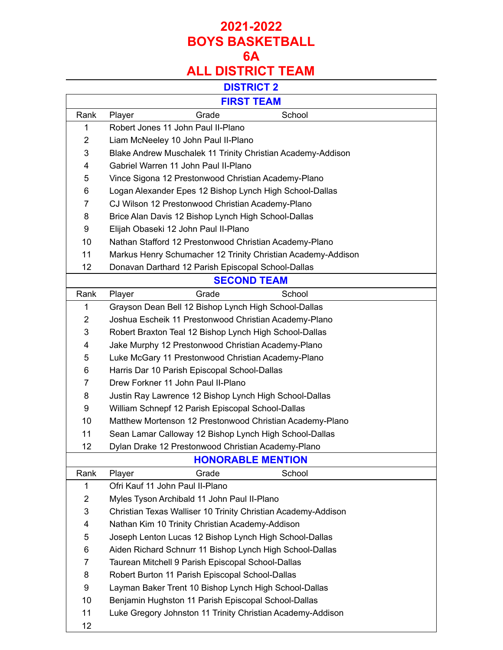## **2021-2022 BOYS BASKETBALL 6A ALL DISTRICT TEAM**

#### **DISTRICT 2**

| <b>FIRST TEAM</b> |                                                               |  |  |  |  |  |
|-------------------|---------------------------------------------------------------|--|--|--|--|--|
| Rank              | Grade<br>School<br>Player                                     |  |  |  |  |  |
| 1                 | Robert Jones 11 John Paul II-Plano                            |  |  |  |  |  |
| $\overline{2}$    | Liam McNeeley 10 John Paul II-Plano                           |  |  |  |  |  |
| 3                 | Blake Andrew Muschalek 11 Trinity Christian Academy-Addison   |  |  |  |  |  |
| 4                 | Gabriel Warren 11 John Paul II-Plano                          |  |  |  |  |  |
| 5                 | Vince Sigona 12 Prestonwood Christian Academy-Plano           |  |  |  |  |  |
| 6                 | Logan Alexander Epes 12 Bishop Lynch High School-Dallas       |  |  |  |  |  |
| 7                 | CJ Wilson 12 Prestonwood Christian Academy-Plano              |  |  |  |  |  |
| 8                 | Brice Alan Davis 12 Bishop Lynch High School-Dallas           |  |  |  |  |  |
| 9                 | Elijah Obaseki 12 John Paul II-Plano                          |  |  |  |  |  |
| 10                | Nathan Stafford 12 Prestonwood Christian Academy-Plano        |  |  |  |  |  |
| 11                | Markus Henry Schumacher 12 Trinity Christian Academy-Addison  |  |  |  |  |  |
| 12                | Donavan Darthard 12 Parish Episcopal School-Dallas            |  |  |  |  |  |
|                   | <b>SECOND TEAM</b>                                            |  |  |  |  |  |
| Rank              | School<br>Player<br>Grade                                     |  |  |  |  |  |
| 1                 | Grayson Dean Bell 12 Bishop Lynch High School-Dallas          |  |  |  |  |  |
| 2                 | Joshua Escheik 11 Prestonwood Christian Academy-Plano         |  |  |  |  |  |
| 3                 | Robert Braxton Teal 12 Bishop Lynch High School-Dallas        |  |  |  |  |  |
| 4                 | Jake Murphy 12 Prestonwood Christian Academy-Plano            |  |  |  |  |  |
| 5                 | Luke McGary 11 Prestonwood Christian Academy-Plano            |  |  |  |  |  |
| 6                 | Harris Dar 10 Parish Episcopal School-Dallas                  |  |  |  |  |  |
| 7                 | Drew Forkner 11 John Paul II-Plano                            |  |  |  |  |  |
| 8                 | Justin Ray Lawrence 12 Bishop Lynch High School-Dallas        |  |  |  |  |  |
| 9                 | William Schnepf 12 Parish Episcopal School-Dallas             |  |  |  |  |  |
| 10                | Matthew Mortenson 12 Prestonwood Christian Academy-Plano      |  |  |  |  |  |
| 11                | Sean Lamar Calloway 12 Bishop Lynch High School-Dallas        |  |  |  |  |  |
| 12                | Dylan Drake 12 Prestonwood Christian Academy-Plano            |  |  |  |  |  |
|                   | <b>HONORABLE MENTION</b>                                      |  |  |  |  |  |
| Rank              | Grade<br>School<br>Player                                     |  |  |  |  |  |
| $\mathbf 1$       | Ofri Kauf 11 John Paul II-Plano                               |  |  |  |  |  |
| $\overline{2}$    | Myles Tyson Archibald 11 John Paul II-Plano                   |  |  |  |  |  |
| 3                 | Christian Texas Walliser 10 Trinity Christian Academy-Addison |  |  |  |  |  |
| 4                 | Nathan Kim 10 Trinity Christian Academy-Addison               |  |  |  |  |  |
| 5                 | Joseph Lenton Lucas 12 Bishop Lynch High School-Dallas        |  |  |  |  |  |
| 6                 | Aiden Richard Schnurr 11 Bishop Lynch High School-Dallas      |  |  |  |  |  |
| 7                 | Taurean Mitchell 9 Parish Episcopal School-Dallas             |  |  |  |  |  |
| 8                 | Robert Burton 11 Parish Episcopal School-Dallas               |  |  |  |  |  |
| 9                 | Layman Baker Trent 10 Bishop Lynch High School-Dallas         |  |  |  |  |  |
| 10                | Benjamin Hughston 11 Parish Episcopal School-Dallas           |  |  |  |  |  |
| 11                | Luke Gregory Johnston 11 Trinity Christian Academy-Addison    |  |  |  |  |  |
| 12                |                                                               |  |  |  |  |  |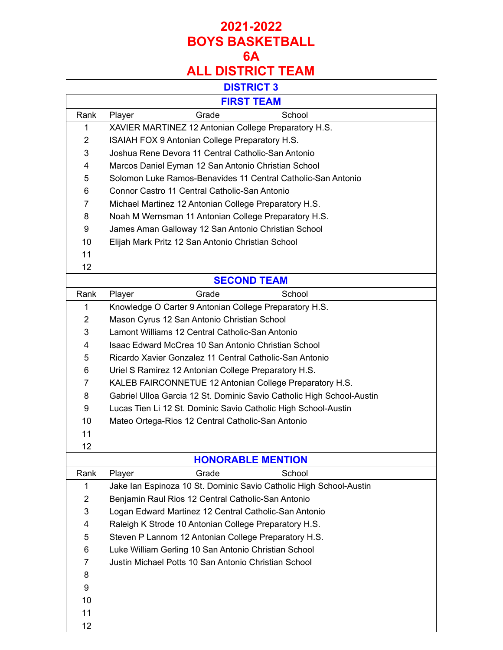# **2021-2022 BOYS BASKETBALL 6A**

## **ALL DISTRICT TEAM**

## **DISTRICT 3**

| ט ומוטוש                 |                                                                       |       |                    |  |  |  |  |  |
|--------------------------|-----------------------------------------------------------------------|-------|--------------------|--|--|--|--|--|
| <b>FIRST TEAM</b>        |                                                                       |       |                    |  |  |  |  |  |
| Rank                     | Player                                                                | Grade | School             |  |  |  |  |  |
| 1                        | XAVIER MARTINEZ 12 Antonian College Preparatory H.S.                  |       |                    |  |  |  |  |  |
| $\overline{2}$           | ISAIAH FOX 9 Antonian College Preparatory H.S.                        |       |                    |  |  |  |  |  |
| 3                        | Joshua Rene Devora 11 Central Catholic-San Antonio                    |       |                    |  |  |  |  |  |
| 4                        | Marcos Daniel Eyman 12 San Antonio Christian School                   |       |                    |  |  |  |  |  |
| 5                        | Solomon Luke Ramos-Benavides 11 Central Catholic-San Antonio          |       |                    |  |  |  |  |  |
| 6                        | Connor Castro 11 Central Catholic-San Antonio                         |       |                    |  |  |  |  |  |
| 7                        | Michael Martinez 12 Antonian College Preparatory H.S.                 |       |                    |  |  |  |  |  |
| 8                        | Noah M Wernsman 11 Antonian College Preparatory H.S.                  |       |                    |  |  |  |  |  |
| 9                        | James Aman Galloway 12 San Antonio Christian School                   |       |                    |  |  |  |  |  |
| 10                       | Elijah Mark Pritz 12 San Antonio Christian School                     |       |                    |  |  |  |  |  |
| 11                       |                                                                       |       |                    |  |  |  |  |  |
| 12                       |                                                                       |       |                    |  |  |  |  |  |
|                          |                                                                       |       | <b>SECOND TEAM</b> |  |  |  |  |  |
| Rank                     | Player                                                                | Grade | School             |  |  |  |  |  |
| $\mathbf{1}$             | Knowledge O Carter 9 Antonian College Preparatory H.S.                |       |                    |  |  |  |  |  |
| $\overline{2}$           | Mason Cyrus 12 San Antonio Christian School                           |       |                    |  |  |  |  |  |
| 3                        | Lamont Williams 12 Central Catholic-San Antonio                       |       |                    |  |  |  |  |  |
| 4                        | Isaac Edward McCrea 10 San Antonio Christian School                   |       |                    |  |  |  |  |  |
| 5                        | Ricardo Xavier Gonzalez 11 Central Catholic-San Antonio               |       |                    |  |  |  |  |  |
| 6                        | Uriel S Ramirez 12 Antonian College Preparatory H.S.                  |       |                    |  |  |  |  |  |
| 7                        | KALEB FAIRCONNETUE 12 Antonian College Preparatory H.S.               |       |                    |  |  |  |  |  |
| 8                        | Gabriel Ulloa Garcia 12 St. Dominic Savio Catholic High School-Austin |       |                    |  |  |  |  |  |
| 9                        | Lucas Tien Li 12 St. Dominic Savio Catholic High School-Austin        |       |                    |  |  |  |  |  |
| 10                       | Mateo Ortega-Rios 12 Central Catholic-San Antonio                     |       |                    |  |  |  |  |  |
| 11                       |                                                                       |       |                    |  |  |  |  |  |
| 12                       |                                                                       |       |                    |  |  |  |  |  |
| <b>HONORABLE MENTION</b> |                                                                       |       |                    |  |  |  |  |  |
| Rank                     | Player                                                                | Grade | School             |  |  |  |  |  |
|                          |                                                                       |       |                    |  |  |  |  |  |

| Rank           | Player | Grade                                                 | School                                                             |  |
|----------------|--------|-------------------------------------------------------|--------------------------------------------------------------------|--|
|                |        |                                                       | Jake Ian Espinoza 10 St. Dominic Savio Catholic High School-Austin |  |
| $\overline{2}$ |        | Benjamin Raul Rios 12 Central Catholic-San Antonio    |                                                                    |  |
| 3              |        | Logan Edward Martinez 12 Central Catholic-San Antonio |                                                                    |  |
| 4              |        | Raleigh K Strode 10 Antonian College Preparatory H.S. |                                                                    |  |
| 5              |        | Steven P Lannom 12 Antonian College Preparatory H.S.  |                                                                    |  |
| 6              |        | Luke William Gerling 10 San Antonio Christian School  |                                                                    |  |
| 7              |        | Justin Michael Potts 10 San Antonio Christian School  |                                                                    |  |
| 8              |        |                                                       |                                                                    |  |
| 9              |        |                                                       |                                                                    |  |
| 10             |        |                                                       |                                                                    |  |
| 11             |        |                                                       |                                                                    |  |
| 12             |        |                                                       |                                                                    |  |